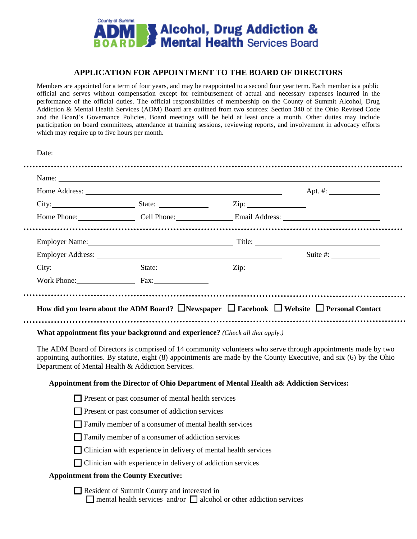

## **APPLICATION FOR APPOINTMENT TO THE BOARD OF DIRECTORS**

Members are appointed for a term of four years, and may be reappointed to a second four year term. Each member is a public official and serves without compensation except for reimbursement of actual and necessary expenses incurred in the performance of the official duties. The official responsibilities of membership on the County of Summit Alcohol, Drug Addiction & Mental Health Services (ADM) Board are outlined from two sources: Section 340 of the Ohio Revised Code and the Board's Governance Policies. Board meetings will be held at least once a month. Other duties may include participation on board committees, attendance at training sessions, reviewing reports, and involvement in advocacy efforts which may require up to five hours per month.

|  |                                                                                                                                       |                                                                                          | Apt. #: $\qquad \qquad$                                                                                                                                                                                                         |
|--|---------------------------------------------------------------------------------------------------------------------------------------|------------------------------------------------------------------------------------------|---------------------------------------------------------------------------------------------------------------------------------------------------------------------------------------------------------------------------------|
|  |                                                                                                                                       |                                                                                          |                                                                                                                                                                                                                                 |
|  |                                                                                                                                       |                                                                                          | Home Phone: Cell Phone: Email Address:                                                                                                                                                                                          |
|  |                                                                                                                                       |                                                                                          |                                                                                                                                                                                                                                 |
|  |                                                                                                                                       |                                                                                          | Suite #: $\frac{1}{2}$                                                                                                                                                                                                          |
|  |                                                                                                                                       | City: City: State: City: City:                                                           |                                                                                                                                                                                                                                 |
|  | Work Phone: Fax:                                                                                                                      |                                                                                          |                                                                                                                                                                                                                                 |
|  | What appointment fits your background and experience? (Check all that apply.)                                                         |                                                                                          | How did you learn about the ADM Board? $\Box$ Newspaper $\Box$ Facebook $\Box$ Website $\Box$ Personal Contact<br>The ADM Board of Directors is comprised of 14 community volunteers who serve through appointments made by two |
|  | Department of Mental Health & Addiction Services.                                                                                     |                                                                                          |                                                                                                                                                                                                                                 |
|  |                                                                                                                                       | Appointment from the Director of Ohio Department of Mental Health a& Addiction Services: | appointing authorities. By statute, eight (8) appointments are made by the County Executive, and six (6) by the Ohio                                                                                                            |
|  | $\Box$ Present or past consumer of mental health services                                                                             |                                                                                          |                                                                                                                                                                                                                                 |
|  | $\Box$ Present or past consumer of addiction services                                                                                 |                                                                                          |                                                                                                                                                                                                                                 |
|  | □ Family member of a consumer of mental health services                                                                               |                                                                                          |                                                                                                                                                                                                                                 |
|  | $\Box$ Family member of a consumer of addiction services                                                                              |                                                                                          |                                                                                                                                                                                                                                 |
|  | Clinician with experience in delivery of mental health services<br>$\Box$ Clinician with experience in delivery of addiction services |                                                                                          |                                                                                                                                                                                                                                 |

 $\Box$  mental health services and/or  $\Box$  alcohol or other addiction services